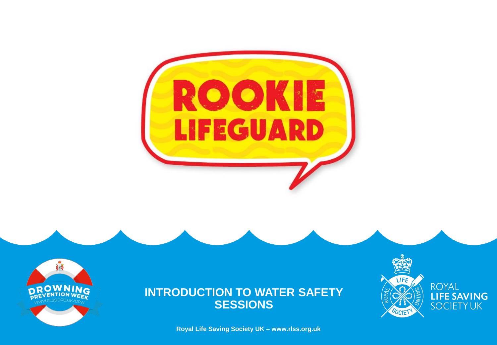



**Royal Life Saving Society UK – www.rlss.org.uk**

LIFE **ROYAL** LIFE SAVING<br>SOCIETY UK SOCIET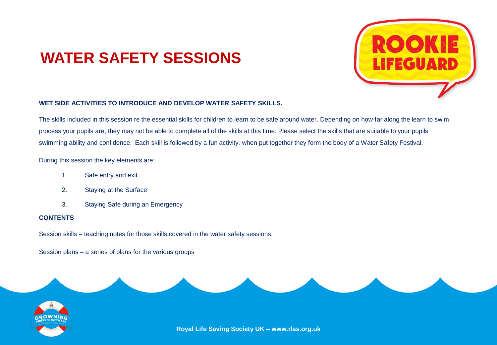## **WATER SAFETY SESSIONS**



#### **WET SIDE ACTIVITIES TO INTRODUCE AND DEVELOP WATER SAFETY SKILLS.**

The skills included in this session re the essential skills for children to learn to be safe around water. Depending on how far along the learn to swim process your pupils are, they may not be able to complete all of the skills at this time. Please select the skills that are suitable to your pupils swimming ability and confidence. Each skill is followed by a fun activity, when put together they form the body of a Water Safety Festival.

During this session the key elements are:

- 1. Safe entry and exit
- 2. Staying at the Surface
- 3. Staying Safe during an Emergency

#### **CONTENTS**

Session skills – teaching notes for those skills covered in the water safety sessions.

Session plans – a series of plans for the various groups

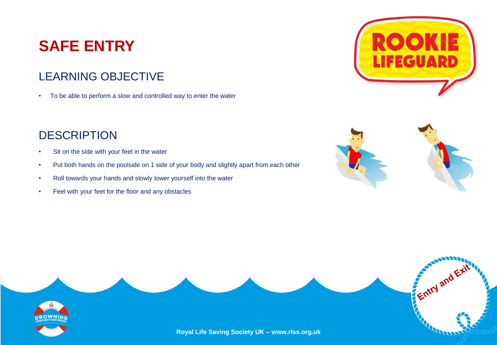# **SAFE ENTRY**

#### LEARNING OBJECTIVE

• To be able to perform a slow and controlled way to enter the water

- Sit on the side with your feet in the water
- Put both hands on the poolside on 1 side of your body and slightly apart from each other
- Roll towards your hands and slowly lower yourself into the water
- Feel with your feet for the floor and any obstacles





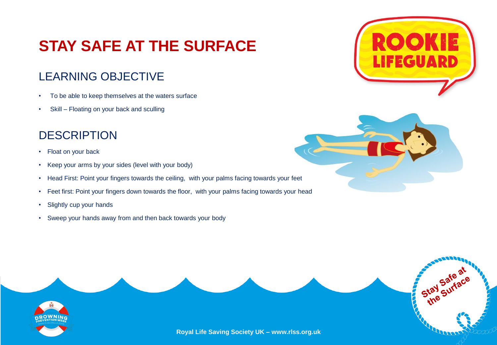# **STAY SAFE AT THE SURFACE**

#### LEARNING OBJECTIVE

- To be able to keep themselves at the waters surface
- Skill Floating on your back and sculling

- Float on your back
- Keep your arms by your sides (level with your body)
- Head First: Point your fingers towards the ceiling, with your palms facing towards your feet
- Feet first: Point your fingers down towards the floor, with your palms facing towards your head
- Slightly cup your hands
- Sweep your hands away from and then back towards your body





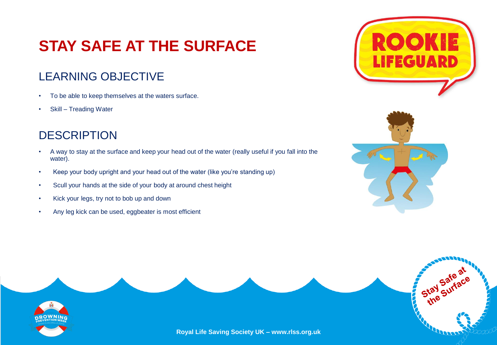# **STAY SAFE AT THE SURFACE**

#### LEARNING OBJECTIVE

- To be able to keep themselves at the waters surface.
- Skill Treading Water

- A way to stay at the surface and keep your head out of the water (really useful if you fall into the water).
- Keep your body upright and your head out of the water (like you're standing up)
- Scull your hands at the side of your body at around chest height
- Kick your legs, try not to bob up and down
- Any leg kick can be used, eggbeater is most efficient





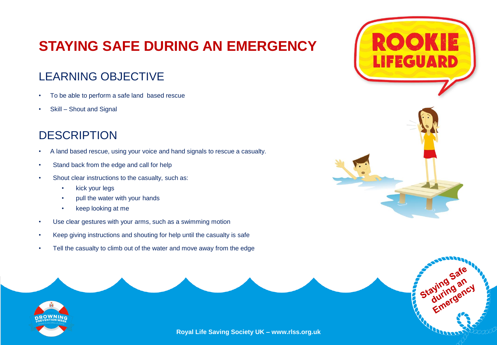### **STAYING SAFE DURING AN EMERGENCY**

#### LEARNING OBJECTIVE

- To be able to perform a safe land based rescue
- Skill Shout and Signal

- A land based rescue, using your voice and hand signals to rescue a casualty.
- Stand back from the edge and call for help
- Shout clear instructions to the casualty, such as:
	- kick your legs
	- pull the water with your hands
	- keep looking at me
- Use clear gestures with your arms, such as a swimming motion
- Keep giving instructions and shouting for help until the casualty is safe
- Tell the casualty to climb out of the water and move away from the edge





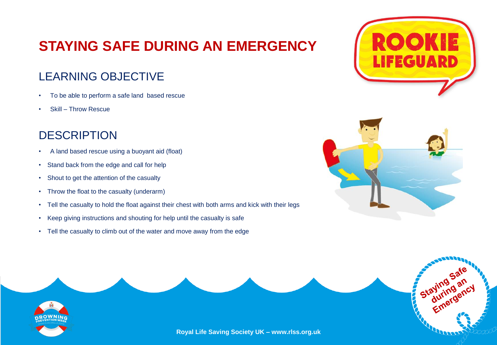### **STAYING SAFE DURING AN EMERGENCY**

#### LEARNING OBJECTIVE

- To be able to perform a safe land based rescue
- Skill Throw Rescue

- A land based rescue using a buoyant aid (float)
- Stand back from the edge and call for help
- Shout to get the attention of the casualty
- Throw the float to the casualty (underarm)
- Tell the casualty to hold the float against their chest with both arms and kick with their legs
- Keep giving instructions and shouting for help until the casualty is safe
- Tell the casualty to climb out of the water and move away from the edge







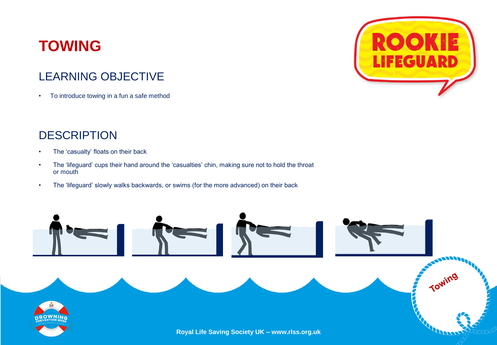### **TOWING**

#### LEARNING OBJECTIVE

• To introduce towing in a fun a safe method

- The 'casualty' floats on their back
- The 'lifeguard' cups their hand around the 'casualties' chin, making sure not to hold the throat or mouth



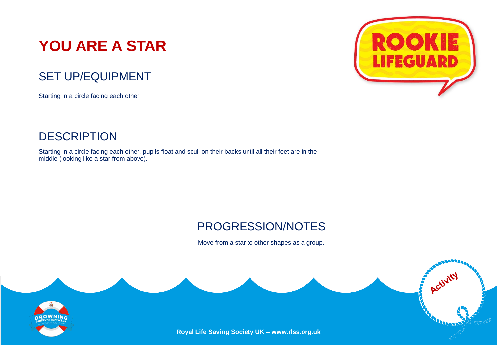# **YOU ARE A STAR**

#### SET UP/EQUIPMENT

Starting in a circle facing each other



Starting in a circle facing each other, pupils float and scull on their backs until all their feet are in the middle (looking like a star from above).



#### PROGRESSION/NOTES

Move from a star to other shapes as a group.

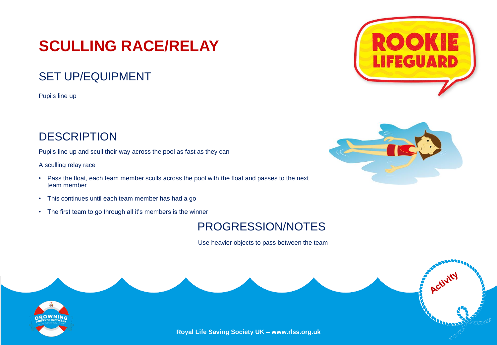## **SCULLING RACE/RELAY**

#### SET UP/EQUIPMENT

Pupils line up

#### **DESCRIPTION**

Pupils line up and scull their way across the pool as fast as they can

A sculling relay race

- Pass the float, each team member sculls across the pool with the float and passes to the next team member
- This continues until each team member has had a go
- The first team to go through all it's members is the winner

#### PROGRESSION/NOTES

Use heavier objects to pass between the team







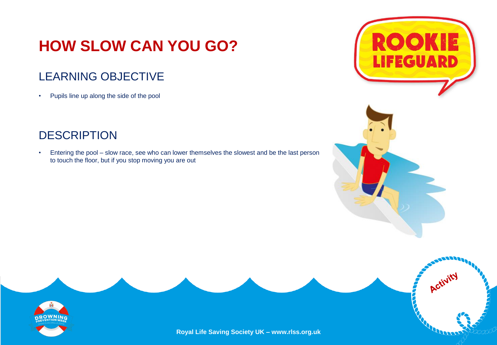# **HOW SLOW CAN YOU GO?**

#### LEARNING OBJECTIVE

• Pupils line up along the side of the pool

#### **DESCRIPTION**

• Entering the pool – slow race, see who can lower themselves the slowest and be the last person to touch the floor, but if you stop moving you are out





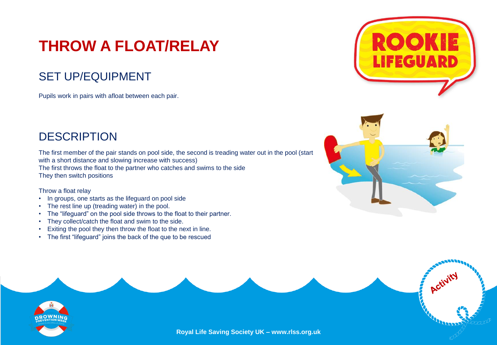# **THROW A FLOAT/RELAY**

#### SET UP/EQUIPMENT

Pupils work in pairs with afloat between each pair.

#### **DESCRIPTION**

The first member of the pair stands on pool side, the second is treading water out in the pool (start with a short distance and slowing increase with success) The first throws the float to the partner who catches and swims to the side They then switch positions

#### Throw a float relay

- In groups, one starts as the lifeguard on pool side
- The rest line up (treading water) in the pool.
- The "lifeguard" on the pool side throws to the float to their partner.
- They collect/catch the float and swim to the side.
- **Progression** • Exiting the pool they then throw the float to the next in line.
- The first "lifeguard" joins the back of the que to be rescued





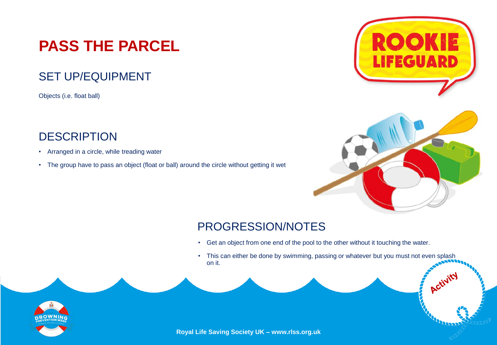# **PASS THE PARCEL**

#### SET UP/EQUIPMENT

Objects (i.e. float ball)

#### **DESCRIPTION**

- Arranged in a circle, while treading water
- The group have to pass an object (float or ball) around the circle without getting it wet





### PROGRESSION/NOTES

- Get an object from one end of the pool to the other without it touching the water.
- This can either be done by swimming, passing or whatever but you must not even splash on it.

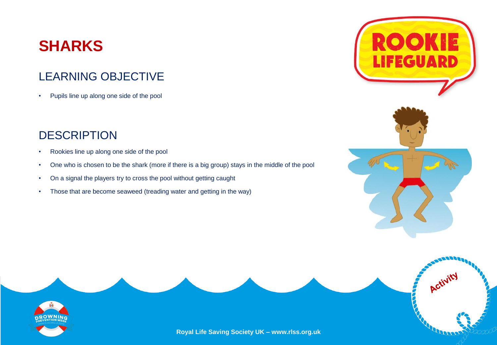### **SHARKS**

#### LEARNING OBJECTIVE

• Pupils line up along one side of the pool

#### **DESCRIPTION**

- Rookies line up along one side of the pool
- One who is chosen to be the shark (more if there is a big group) stays in the middle of the pool
- On a signal the players try to cross the pool without getting caught
- Those that are become seaweed (treading water and getting in the way)



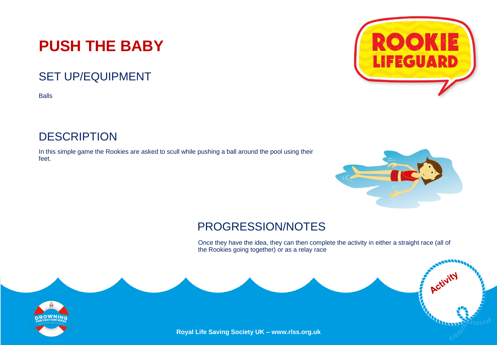## **PUSH THE BABY**

#### SET UP/EQUIPMENT

Balls

#### **DESCRIPTION**

In this simple game the Rookies are asked to scull while pushing a ball around the pool using their feet.



Activit

#### PROGRESSION/NOTES

Once they have the idea, they can then complete the activity in either a straight race (all of the Rookies going together) or as a relay race



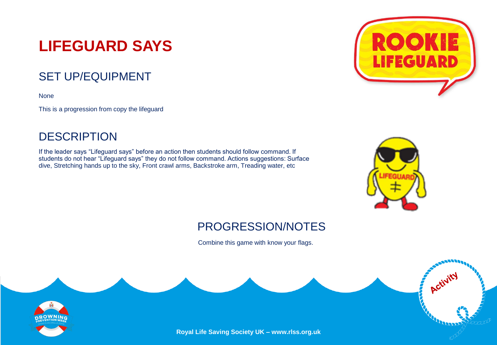# **LIFEGUARD SAYS**

#### SET UP/EQUIPMENT

None

This is a progression from copy the lifeguard

#### **DESCRIPTION**

If the leader says "Lifeguard says" before an action then students should follow command. If students do not hear "Lifeguard says" they do not follow command. Actions suggestions: Surface dive, Stretching hands up to the sky, Front crawl arms, Backstroke arm, Treading water, etc





Activi

#### PROGRESSION/NOTES

Combine this game with know your flags.

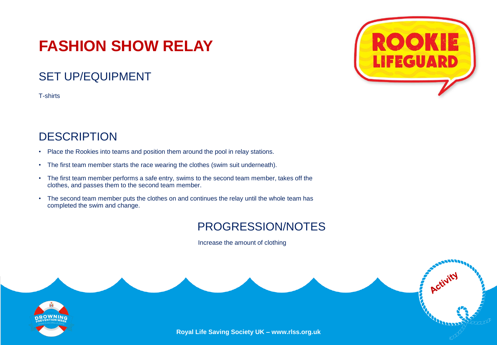# **FASHION SHOW RELAY**

#### SET UP/EQUIPMENT

T-shirts

#### **DESCRIPTION**

- Place the Rookies into teams and position them around the pool in relay stations.
- The first team member starts the race wearing the clothes (swim suit underneath).
- The first team member performs a safe entry, swims to the second team member, takes off the clothes, and passes them to the second team member.
- The second team member puts the clothes on and continues the relay until the whole team has completed the swim and change.

#### PROGRESSION/NOTES

Increase the amount of clothing



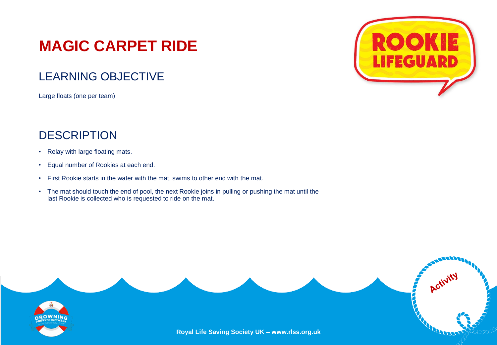## **MAGIC CARPET RIDE**

#### LEARNING OBJECTIVE

Large floats (one per team)

- Relay with large floating mats.
- Equal number of Rookies at each end.
- First Rookie starts in the water with the mat, swims to other end with the mat.
- The mat should touch the end of pool, the next Rookie joins in pulling or pushing the mat until the last Rookie is collected who is requested to ride on the mat.



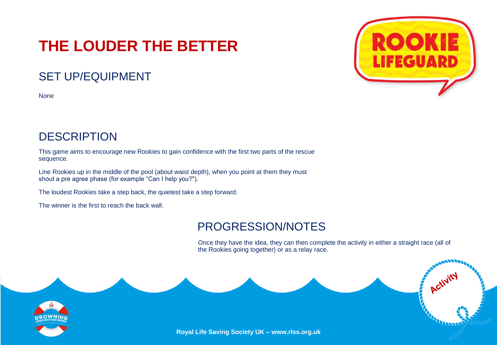# **THE LOUDER THE BETTER**

#### SET UP/EQUIPMENT

None



#### **DESCRIPTION**

This game aims to encourage new Rookies to gain confidence with the first two parts of the rescue sequence.

Line Rookies up in the middle of the pool (about waist depth), when you point at them they must shout a pre agree phase (for example "Can I help you?").

The loudest Rookies take a step back, the quietest take a step forward.

The winner is the first to reach the back wall.

#### PROGRESSION/NOTES

Once they have the idea, they can then complete the activity in either a straight race (all of the Rookies going together) or as a relay race.

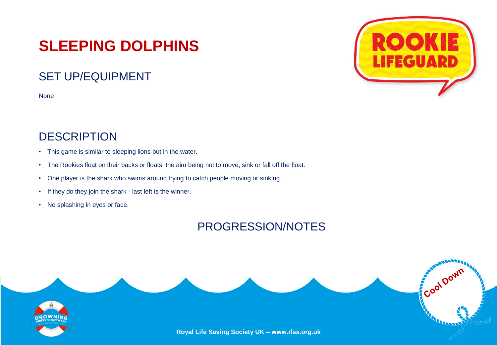## **SLEEPING DOLPHINS**

#### SET UP/EQUIPMENT

None

#### **DESCRIPTION**

- This game is similar to sleeping lions but in the water.
- The Rookies float on their backs or floats, the aim being not to move, sink or fall off the float.
- One player is the shark who swims around trying to catch people moving or sinking.
- If they do they join the shark last left is the winner.
- No splashing in eyes or face.

#### PROGRESSION/NOTES





Cool Down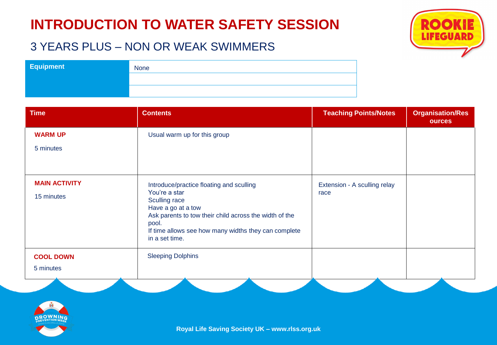#### 3 YEARS PLUS – NON OR WEAK SWIMMERS

| <b>Equipment</b> | <b>None</b> |
|------------------|-------------|
|                  |             |
|                  |             |

| <b>Time</b>          | <b>Contents</b>                                                                                                                                                                                   | <b>Teaching Points/Notes</b> | <b>Organisation/Res</b><br><b>ources</b> |
|----------------------|---------------------------------------------------------------------------------------------------------------------------------------------------------------------------------------------------|------------------------------|------------------------------------------|
| <b>WARM UP</b>       | Usual warm up for this group                                                                                                                                                                      |                              |                                          |
| 5 minutes            |                                                                                                                                                                                                   |                              |                                          |
|                      |                                                                                                                                                                                                   |                              |                                          |
| <b>MAIN ACTIVITY</b> | Introduce/practice floating and sculling                                                                                                                                                          | Extension - A sculling relay |                                          |
| 15 minutes           | You're a star<br>Sculling race<br>Have a go at a tow<br>Ask parents to tow their child across the width of the<br>pool.<br>If time allows see how many widths they can complete<br>in a set time. | race                         |                                          |
| <b>COOL DOWN</b>     | <b>Sleeping Dolphins</b>                                                                                                                                                                          |                              |                                          |
| 5 minutes            |                                                                                                                                                                                                   |                              |                                          |



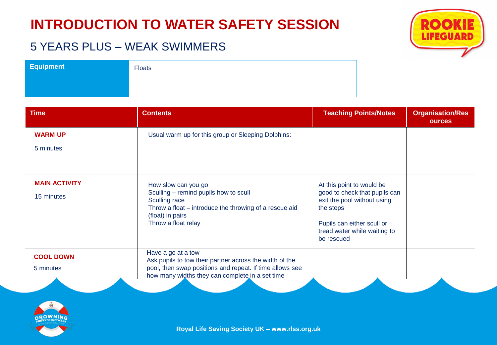#### 5 YEARS PLUS – WEAK SWIMMERS

| <b>Equipment</b> | <b>Floats</b> |
|------------------|---------------|
|                  |               |
|                  |               |

| <b>Time</b>          | <b>Contents</b>                                                                                             | <b>Teaching Points/Notes</b>                                             | <b>Organisation/Res</b><br><b>ources</b> |
|----------------------|-------------------------------------------------------------------------------------------------------------|--------------------------------------------------------------------------|------------------------------------------|
| <b>WARM UP</b>       | Usual warm up for this group or Sleeping Dolphins:                                                          |                                                                          |                                          |
| 5 minutes            |                                                                                                             |                                                                          |                                          |
|                      |                                                                                                             |                                                                          |                                          |
| <b>MAIN ACTIVITY</b> | How slow can you go<br>Sculling – remind pupils how to scull                                                | At this point to would be<br>good to check that pupils can               |                                          |
| 15 minutes           | Sculling race<br>Throw a float – introduce the throwing of a rescue aid<br>(float) in pairs                 | exit the pool without using<br>the steps                                 |                                          |
|                      | Throw a float relay                                                                                         | Pupils can either scull or<br>tread water while waiting to<br>be rescued |                                          |
| <b>COOL DOWN</b>     | Have a go at a tow<br>Ask pupils to tow their partner across the width of the                               |                                                                          |                                          |
| 5 minutes            | pool, then swap positions and repeat. If time allows see<br>how many widths they can complete in a set time |                                                                          |                                          |



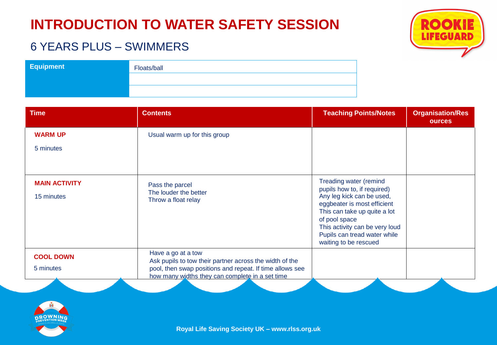

#### 6 YEARS PLUS – SWIMMERS

| <b>Equipment</b> | Floats/ball |
|------------------|-------------|
|                  |             |
|                  |             |

| <b>Time</b>                        | <b>Contents</b>                                                                                             | <b>Teaching Points/Notes</b>                                                                                                                                                                                                                                  | <b>Organisation/Res</b><br><b>ources</b> |
|------------------------------------|-------------------------------------------------------------------------------------------------------------|---------------------------------------------------------------------------------------------------------------------------------------------------------------------------------------------------------------------------------------------------------------|------------------------------------------|
| <b>WARM UP</b>                     | Usual warm up for this group                                                                                |                                                                                                                                                                                                                                                               |                                          |
| 5 minutes                          |                                                                                                             |                                                                                                                                                                                                                                                               |                                          |
|                                    |                                                                                                             |                                                                                                                                                                                                                                                               |                                          |
| <b>MAIN ACTIVITY</b><br>15 minutes | Pass the parcel<br>The louder the better<br>Throw a float relay                                             | Treading water (remind<br>pupils how to, if required)<br>Any leg kick can be used,<br>eggbeater is most efficient<br>This can take up quite a lot<br>of pool space<br>This activity can be very loud<br>Pupils can tread water while<br>waiting to be rescued |                                          |
| <b>COOL DOWN</b>                   | Have a go at a tow<br>Ask pupils to tow their partner across the width of the                               |                                                                                                                                                                                                                                                               |                                          |
| 5 minutes                          | pool, then swap positions and repeat. If time allows see<br>how many widths they can complete in a set time |                                                                                                                                                                                                                                                               |                                          |

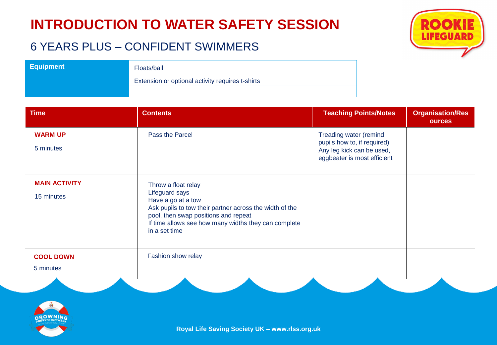#### 6 YEARS PLUS – CONFIDENT SWIMMERS



| <b>Time</b>                        | <b>Contents</b>                                                                                                                                                                                                                         | <b>Teaching Points/Notes</b>                                                                                      | <b>Organisation/Res</b><br><b>ources</b> |
|------------------------------------|-----------------------------------------------------------------------------------------------------------------------------------------------------------------------------------------------------------------------------------------|-------------------------------------------------------------------------------------------------------------------|------------------------------------------|
| <b>WARM UP</b><br>5 minutes        | Pass the Parcel                                                                                                                                                                                                                         | Treading water (remind<br>pupils how to, if required)<br>Any leg kick can be used,<br>eggbeater is most efficient |                                          |
| <b>MAIN ACTIVITY</b><br>15 minutes | Throw a float relay<br>Lifeguard says<br>Have a go at a tow<br>Ask pupils to tow their partner across the width of the<br>pool, then swap positions and repeat<br>If time allows see how many widths they can complete<br>in a set time |                                                                                                                   |                                          |
| <b>COOL DOWN</b><br>5 minutes      | Fashion show relay                                                                                                                                                                                                                      |                                                                                                                   |                                          |